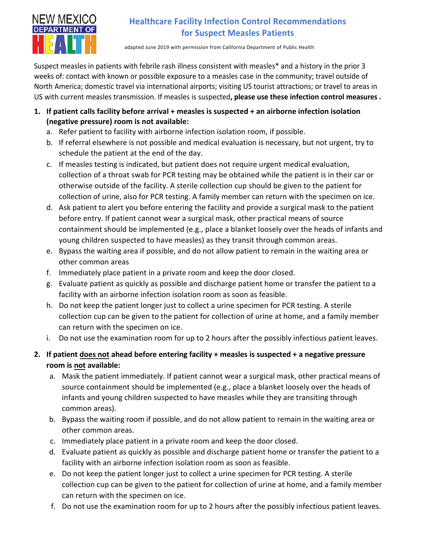

## **Healthcare Facility Infection Control Recommendations for Suspect Measles Patients**

adapted June 2019 with permission from California Department of Public Health

Suspect measles in patients with febrile rash illness consistent with measles\* and a history in the prior 3 weeks of: contact with known or possible exposure to a measles case in the community; travel outside of North America; domestic travel via international airports; visiting US tourist attractions; or travel to areas in US with current measles transmission. If measles is suspected**, please use these infection control measures .** 

- **1. If patient calls facility before arrival + measles is suspected + an airborne infection isolation (negative pressure) room is not available:**
	- a. Refer patient to facility with airborne infection isolation room, if possible.
	- b. If referral elsewhere is not possible and medical evaluation is necessary, but not urgent, try to schedule the patient at the end of the day.
	- c. If measles testing is indicated, but patient does not require urgent medical evaluation, collection of a throat swab for PCR testing may be obtained while the patient is in their car or otherwise outside of the facility. A sterile collection cup should be given to the patient for collection of urine, also for PCR testing. A family member can return with the specimen on ice.
	- d. Ask patient to alert you before entering the facility and provide a surgical mask to the patient before entry. If patient cannot wear a surgical mask, other practical means of source containment should be implemented (e.g., place a blanket loosely over the heads of infants and young children suspected to have measles) as they transit through common areas.
	- e. Bypass the waiting area if possible, and do not allow patient to remain in the waiting area or other common areas
	- f. Immediately place patient in a private room and keep the door closed.
	- g. Evaluate patient as quickly as possible and discharge patient home or transfer the patient to a facility with an airborne infection isolation room as soon as feasible.
	- h. Do not keep the patient longer just to collect a urine specimen for PCR testing. A sterile collection cup can be given to the patient for collection of urine at home, and a family member can return with the specimen on ice.
	- i. Do not use the examination room for up to 2 hours after the possibly infectious patient leaves.
- **2. If patient does not ahead before entering facility + measles is suspected + a negative pressure room is not available:**
	- a. Mask the patient immediately. If patient cannot wear a surgical mask, other practical means of source containment should be implemented (e.g., place a blanket loosely over the heads of infants and young children suspected to have measles while they are transiting through common areas).
	- b. Bypass the waiting room if possible, and do not allow patient to remain in the waiting area or other common areas.
	- c. Immediately place patient in a private room and keep the door closed.
	- d. Evaluate patient as quickly as possible and discharge patient home or transfer the patient to a facility with an airborne infection isolation room as soon as feasible.
	- e. Do not keep the patient longer just to collect a urine specimen for PCR testing. A sterile collection cup can be given to the patient for collection of urine at home, and a family member can return with the specimen on ice.
	- f. Do not use the examination room for up to 2 hours after the possibly infectious patient leaves.